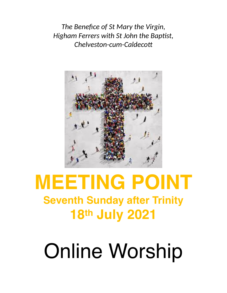*The Benefice of St Mary the Virgin, Higham Ferrers with St John the Baptist, Chelveston-cum-Caldecott*



# **MEETING POINT Seventh Sunday after Trinity 18th July 2021**

# Online Worship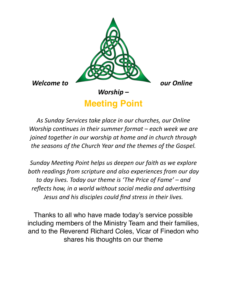

# **Meeting Point**

*As Sunday Services take place in our churches, our Online Worship continues in their summer format – each week we are joined together in our worship at home and in church through the seasons of the Church Year and the themes of the Gospel.*

*Sunday Meeting Point helps us deepen our faith as we explore both readings from scripture and also experiences from our day to day lives. Today our theme is 'The Price of Fame' – and reflects how, in a world without social media and advertising Jesus and his disciples could find stress in their lives.*

Thanks to all who have made today's service possible including members of the Ministry Team and their families, and to the Reverend Richard Coles, Vicar of Finedon who shares his thoughts on our theme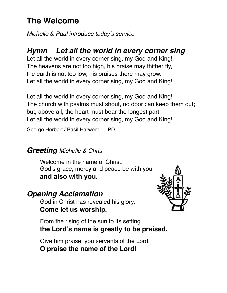# **The Welcome**

*Michelle & Paul introduce today's service.*

# *Hymn Let all the world in every corner sing*

Let all the world in every corner sing, my God and King! The heavens are not too high, his praise may thither fly, the earth is not too low, his praises there may grow. Let all the world in every corner sing, my God and King!

Let all the world in every corner sing, my God and King! The church with psalms must shout, no door can keep them out; but, above all, the heart must bear the longest part. Let all the world in every corner sing, my God and King!

George Herbert / Basil Harwood PD

# *Greeting Michelle & Chris*

Welcome in the name of Christ. God's grace, mercy and peace be with you **and also with you.**

# *Opening Acclamation*

God in Christ has revealed his glory. **Come let us worship.** 



From the rising of the sun to its setting **the Lord's name is greatly to be praised.** 

Give him praise, you servants of the Lord. **O praise the name of the Lord!**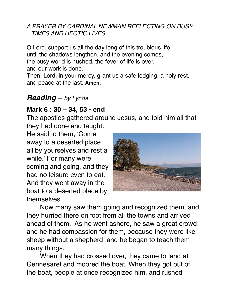#### *A PRAYER BY CARDINAL NEWMAN REFLECTING ON BUSY TIMES AND HECTIC LIVES.*

O Lord, support us all the day long of this troublous life, until the shadows lengthen, and the evening comes, the busy world is hushed, the fever of life is over, and our work is done.

Then, Lord, in your mercy, grant us a safe lodging, a holy rest, and peace at the last. **Amen.**

# *Reading – by Lynda*

# **Mark 6 : 30 – 34, 53 - end**

The apostles gathered around Jesus, and told him all that they had done and taught.

He said to them, 'Come away to a deserted place all by yourselves and rest a while.' For many were coming and going, and they had no leisure even to eat. And they went away in the boat to a deserted place by themselves.



Now many saw them going and recognized them, and they hurried there on foot from all the towns and arrived ahead of them. As he went ashore, he saw a great crowd; and he had compassion for them, because they were like sheep without a shepherd; and he began to teach them many things.

When they had crossed over, they came to land at Gennesaret and moored the boat. When they got out of the boat, people at once recognized him, and rushed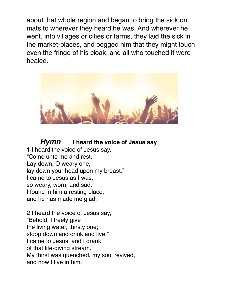about that whole region and began to bring the sick on mats to wherever they heard he was. And wherever he went, into villages or cities or farms, they laid the sick in the market-places, and begged him that they might touch even the fringe of his cloak; and all who touched it were healed.



*Hymn* **I heard the voice of Jesus say** 

1 I heard the voice of Jesus say, "Come unto me and rest. Lay down, O weary one, lay down your head upon my breast." I came to Jesus as I was, so weary, worn, and sad. I found in him a resting place, and he has made me glad.

2 I heard the voice of Jesus say, "Behold, I freely give the living water, thirsty one; stoop down and drink and live." I came to Jesus, and I drank of that life-giving stream. My thirst was quenched, my soul revived, and now I live in him.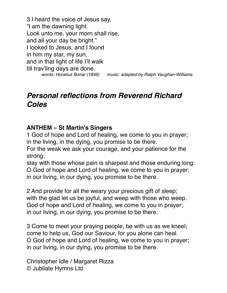3 I heard the voice of Jesus say, "I am the dawning light. Look unto me, your morn shall rise, and all your day be bright." I looked to Jesus, and I found in him my star, my sun, and in that light of life I'll walk till trav'ling days are done. *words: Horatius Bonar (1846) music: adapted by Ralph Vaughan-Williams* 

# *Personal reflections from Reverend Richard Coles*

#### **ANTHEM – St Martin's Singers**

1 God of hope and Lord of healing, we come to you in prayer; in the living, in the dying, you promise to be there.

For the weak we ask your courage, and your patience for the strong;

stay with those whose pain is sharpest and those enduring long: O God of hope and Lord of healing, we come to you in prayer; in our living, in our dying, you promise to be there.

2 And provide for all the weary your precious gift of sleep; with the glad let us be joyful, and weep with those who weep. God of hope and Lord of healing, we come to you in prayer; in our living, in our dying, you promise to be there.

3 Come to meet your praying people, be with us as we kneel; come to help us, God our Saviour, for you alone can heal. O God of hope and Lord of healing, we come to you in prayer; in our living, in our dying, you promise to be there.

Christopher Idle / Margaret Rizza © Jubilate Hymns Ltd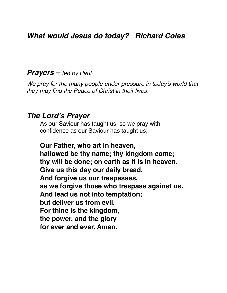# *What would Jesus do today? Richard Coles*

#### *Prayers – led by Paul*

*We pray for the many people under pressure in today's world that they may find the Peace of Christ in their lives.*

#### *The Lord's Prayer*

As our Saviour has taught us, so we pray with confidence as our Saviour has taught us;

**Our Father, who art in heaven, hallowed be thy name; thy kingdom come; thy will be done; on earth as it is in heaven. Give us this day our daily bread. And forgive us our trespasses, as we forgive those who trespass against us. And lead us not into temptation; but deliver us from evil. For thine is the kingdom, the power, and the glory for ever and ever. Amen.**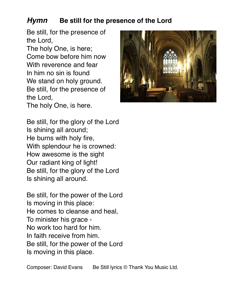# *Hymn* **Be still for the presence of the Lord**

Be still, for the presence of the Lord,

The holy One, is here; Come bow before him now With reverence and fear In him no sin is found We stand on holy ground. Be still, for the presence of the Lord,

The holy One, is here.



Be still, for the glory of the Lord Is shining all around; He burns with holy fire, With splendour he is crowned: How awesome is the sight Our radiant king of light! Be still, for the glory of the Lord Is shining all around.

Be still, for the power of the Lord Is moving in this place: He comes to cleanse and heal, To minister his grace - No work too hard for him. In faith receive from him. Be still, for the power of the Lord Is moving in this place.

Composer: David Evans Be Still lyrics © Thank You Music Ltd.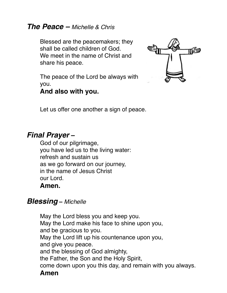## *The Peace – Michelle & Chris*

Blessed are the peacemakers; they shall be called children of God. We meet in the name of Christ and share his peace.

The peace of the Lord be always with you.

## **And also with you.**



Let us offer one another a sign of peace.

# *Final Prayer* **–**

God of our pilgrimage, you have led us to the living water: refresh and sustain us as we go forward on our journey, in the name of Jesus Christ our Lord. **Amen.**

## *Blessing* **–** *Michelle*

May the Lord bless you and keep you. May the Lord make his face to shine upon you, and be gracious to you. May the Lord lift up his countenance upon you, and give you peace. and the blessing of God almighty, the Father, the Son and the Holy Spirit, come down upon you this day, and remain with you always. **Amen**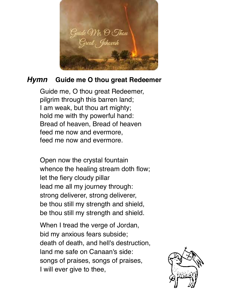

# *Hymn* **Guide me O thou great Redeemer**

Guide me, O thou great Redeemer, pilgrim through this barren land; I am weak, but thou art mighty; hold me with thy powerful hand: Bread of heaven, Bread of heaven feed me now and evermore, feed me now and evermore.

Open now the crystal fountain whence the healing stream doth flow; let the fiery cloudy pillar lead me all my journey through: strong deliverer, strong deliverer, be thou still my strength and shield, be thou still my strength and shield.

When I tread the verge of Jordan, bid my anxious fears subside; death of death, and hell's destruction, land me safe on Canaan's side: songs of praises, songs of praises, I will ever give to thee,